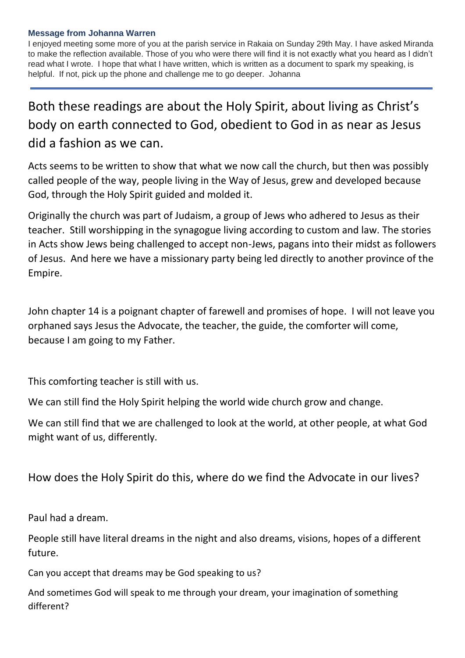## **Message from Johanna Warren**

I enjoyed meeting some more of you at the parish service in Rakaia on Sunday 29th May. I have asked Miranda to make the reflection available. Those of you who were there will find it is not exactly what you heard as I didn't read what I wrote. I hope that what I have written, which is written as a document to spark my speaking, is helpful. If not, pick up the phone and challenge me to go deeper. Johanna

## Both these readings are about the Holy Spirit, about living as Christ's body on earth connected to God, obedient to God in as near as Jesus did a fashion as we can.

Acts seems to be written to show that what we now call the church, but then was possibly called people of the way, people living in the Way of Jesus, grew and developed because God, through the Holy Spirit guided and molded it.

Originally the church was part of Judaism, a group of Jews who adhered to Jesus as their teacher. Still worshipping in the synagogue living according to custom and law. The stories in Acts show Jews being challenged to accept non-Jews, pagans into their midst as followers of Jesus. And here we have a missionary party being led directly to another province of the Empire.

John chapter 14 is a poignant chapter of farewell and promises of hope. I will not leave you orphaned says Jesus the Advocate, the teacher, the guide, the comforter will come, because I am going to my Father.

This comforting teacher is still with us.

We can still find the Holy Spirit helping the world wide church grow and change.

We can still find that we are challenged to look at the world, at other people, at what God might want of us, differently.

How does the Holy Spirit do this, where do we find the Advocate in our lives?

Paul had a dream.

People still have literal dreams in the night and also dreams, visions, hopes of a different future.

Can you accept that dreams may be God speaking to us?

And sometimes God will speak to me through your dream, your imagination of something different?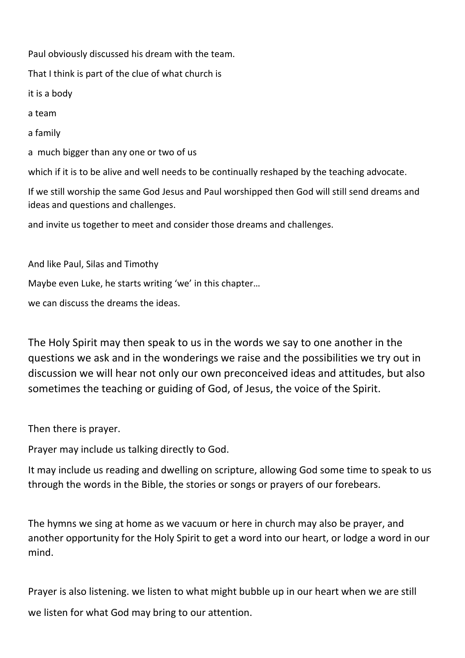Paul obviously discussed his dream with the team. That I think is part of the clue of what church is it is a body a team a family a much bigger than any one or two of us which if it is to be alive and well needs to be continually reshaped by the teaching advocate. If we still worship the same God Jesus and Paul worshipped then God will still send dreams and ideas and questions and challenges. and invite us together to meet and consider those dreams and challenges.

And like Paul, Silas and Timothy

Maybe even Luke, he starts writing 'we' in this chapter…

we can discuss the dreams the ideas.

The Holy Spirit may then speak to us in the words we say to one another in the questions we ask and in the wonderings we raise and the possibilities we try out in discussion we will hear not only our own preconceived ideas and attitudes, but also sometimes the teaching or guiding of God, of Jesus, the voice of the Spirit.

Then there is prayer.

Prayer may include us talking directly to God.

It may include us reading and dwelling on scripture, allowing God some time to speak to us through the words in the Bible, the stories or songs or prayers of our forebears.

The hymns we sing at home as we vacuum or here in church may also be prayer, and another opportunity for the Holy Spirit to get a word into our heart, or lodge a word in our mind.

Prayer is also listening. we listen to what might bubble up in our heart when we are still we listen for what God may bring to our attention.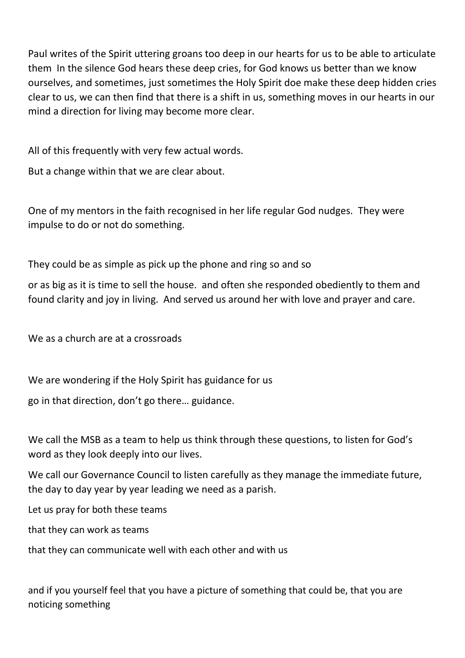Paul writes of the Spirit uttering groans too deep in our hearts for us to be able to articulate them In the silence God hears these deep cries, for God knows us better than we know ourselves, and sometimes, just sometimes the Holy Spirit doe make these deep hidden cries clear to us, we can then find that there is a shift in us, something moves in our hearts in our mind a direction for living may become more clear.

All of this frequently with very few actual words.

But a change within that we are clear about.

One of my mentors in the faith recognised in her life regular God nudges. They were impulse to do or not do something.

They could be as simple as pick up the phone and ring so and so

or as big as it is time to sell the house. and often she responded obediently to them and found clarity and joy in living. And served us around her with love and prayer and care.

We as a church are at a crossroads

We are wondering if the Holy Spirit has guidance for us

go in that direction, don't go there… guidance.

We call the MSB as a team to help us think through these questions, to listen for God's word as they look deeply into our lives.

We call our Governance Council to listen carefully as they manage the immediate future, the day to day year by year leading we need as a parish.

Let us pray for both these teams

that they can work as teams

that they can communicate well with each other and with us

and if you yourself feel that you have a picture of something that could be, that you are noticing something